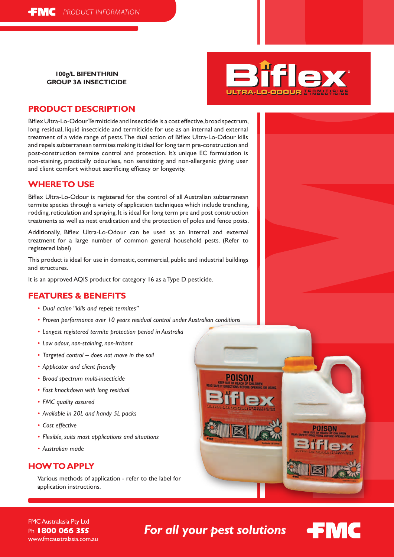**100g/L BIFENTHRIN Group 3A Insecticide**



## **Product Description**

Biflex Ultra-Lo-Odour Termiticide and Insecticide is a cost effective, broad spectrum, long residual, liquid insecticide and termiticide for use as an internal and external treatment of a wide range of pests. The dual action of Biflex Ultra-Lo-Odour kills and repels subterranean termites making it ideal for long term pre-construction and post-construction termite control and protection. It's unique EC formulation is non-staining, practically odourless, non sensitizing and non-allergenic giving user and client comfort without sacrificing efficacy or longevity.

#### **where to use**

Biflex Ultra-Lo-Odour is registered for the control of all Australian subterranean termite species through a variety of application techniques which include trenching, rodding, reticulation and spraying. It is ideal for long term pre and post construction treatments as well as nest eradication and the protection of poles and fence posts.

Additionally, Biflex Ultra-Lo-Odour can be used as an internal and external treatment for a large number of common general household pests. (Refer to registered label)

This product is ideal for use in domestic, commercial, public and industrial buildings and structures.

It is an approved AQIS product for category 16 as a Type D pesticide.

## **features & benefits**

- *• Dual action "kills and repels termites"*
- *• Proven performance over 10 years residual control under Australian conditions*
- *• Longest registered termite protection period in Australia*
- *• Low odour, non-staining, non-irritant*
- *• Targeted control does not move in the soil*
- *• Applicator and client friendly*
- *• Broad spectrum multi-insecticide*
- *• Fast knockdown with long residual*
- *• FMC quality assured*
- *• Available in 20L and handy 5L packs*
- *• Cost effective*
- *• Flexible, suits most applications and situations*
- *• Australian made*

## **how to apply**

Various methods of application - refer to the label for application instructions.

POISON

FMC Australasia Pty Ltd Ph **1800 066 355** www.fmcaustralasia.com.au

*For all your pest solutions*